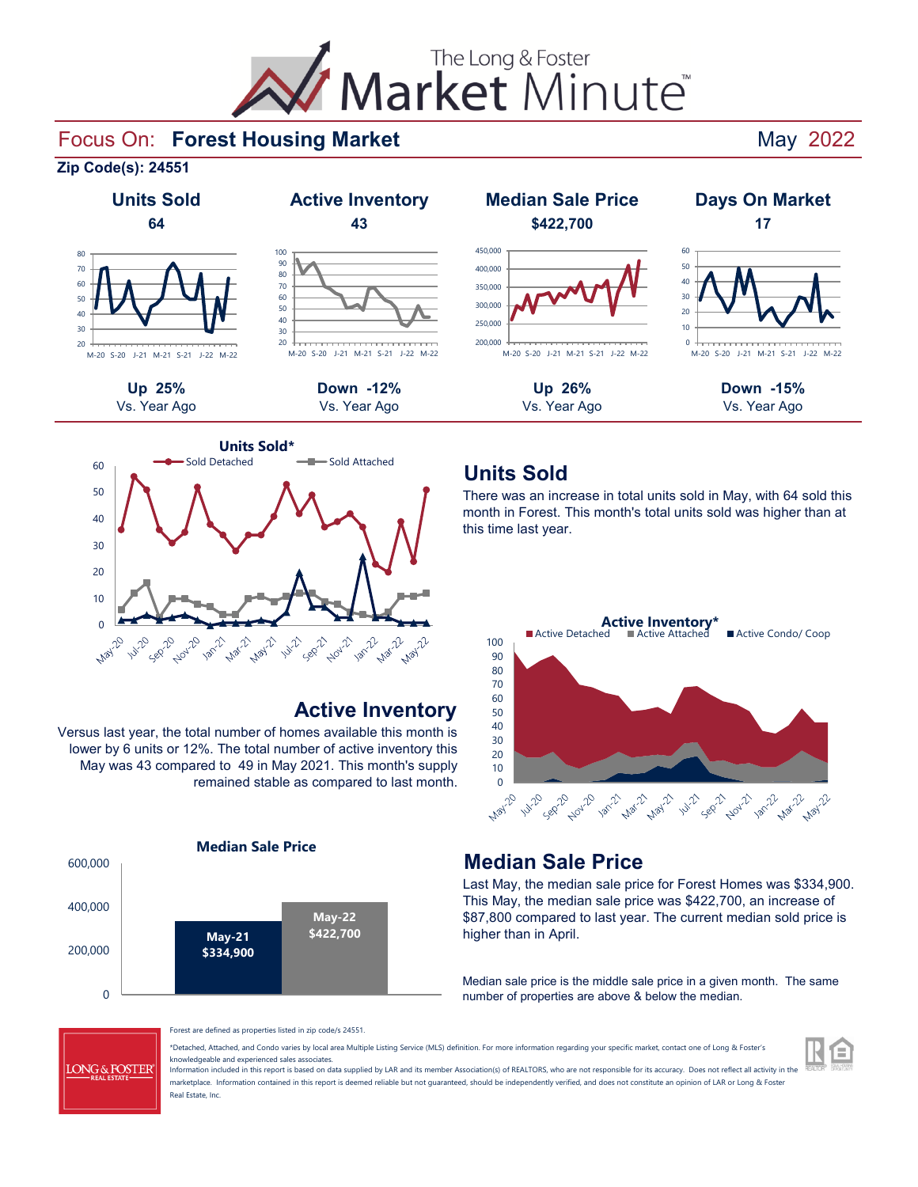

#### Focus On: Forest Housing Market **National State of American Control Control** May 2022

**Zip Code(s): 24551**



#### 20 30 40 50 60 70 80 90<sup>o</sup> 100 M-20 S-20 J-21 M-21 S-21 J-22 M-22











# **Active Inventory**

Versus last year, the total number of homes available this month is lower by 6 units or 12%. The total number of active inventory this May was 43 compared to 49 in May 2021. This month's supply remained stable as compared to last month.



#### There was an increase in total units sold in May, with 64 sold this month in Forest. This month's total units sold was higher than at this time last year.

**Units Sold**



#### **Median Sale Price**

Last May, the median sale price for Forest Homes was \$334,900. This May, the median sale price was \$422,700, an increase of \$87,800 compared to last year. The current median sold price is higher than in April.

Median sale price is the middle sale price in a given month. The same number of properties are above & below the median.



Forest are defined as properties listed in zip code/s 24551.

\*Detached, Attached, and Condo varies by local area Multiple Listing Service (MLS) definition. For more information regarding your specific market, contact one of Long & Foster's knowledgeable and experienced sales associates.

Information included in this report is based on data supplied by LAR and its member Association(s) of REALTORS, who are not responsible for its accuracy. Does not reflect all activity in the marketplace. Information contained in this report is deemed reliable but not quaranteed, should be independently verified, and does not constitute an opinion of LAR or Long & Foster Real Estate, Inc.